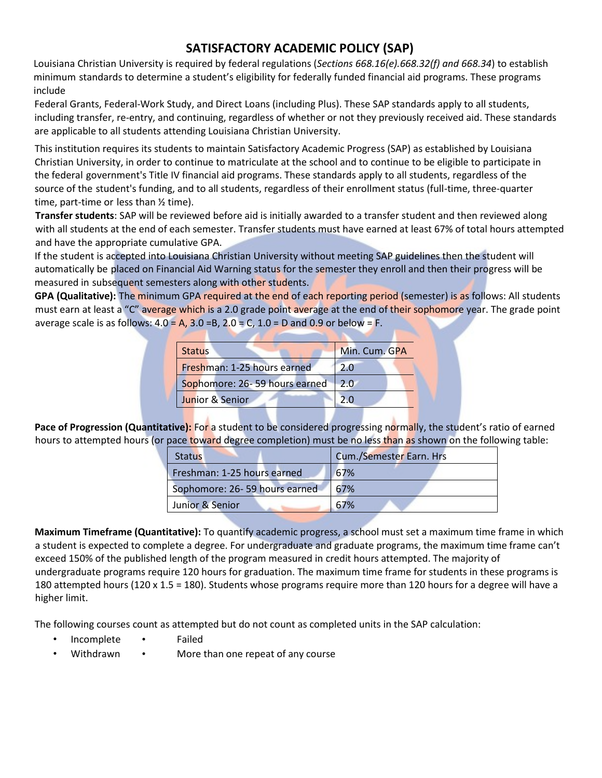## **SATISFACTORY ACADEMIC POLICY (SAP)**

Louisiana Christian University is required by federal regulations (*Sections 668.16(e).668.32(f) and 668.34*) to establish minimum standards to determine a student's eligibility for federally funded financial aid programs. These programs include

Federal Grants, Federal-Work Study, and Direct Loans (including Plus). These SAP standards apply to all students, including transfer, re-entry, and continuing, regardless of whether or not they previously received aid. These standards are applicable to all students attending Louisiana Christian University.

This institution requires its students to maintain Satisfactory Academic Progress (SAP) as established by Louisiana Christian University, in order to continue to matriculate at the school and to continue to be eligible to participate in the federal government's Title IV financial aid programs. These standards apply to all students, regardless of the source of the student's funding, and to all students, regardless of their enrollment status (full-time, three-quarter time, part-time or less than ½ time).

**Transfer students**: SAP will be reviewed before aid is initially awarded to a transfer student and then reviewed along with all students at the end of each semester. Transfer students must have earned at least 67% of total hours attempted and have the appropriate cumulative GPA.

If the student is accepted into Louisiana Christian University without meeting SAP guidelines then the student will automatically be placed on Financial Aid Warning status for the semester they enroll and then their progress will be measured in subsequent semesters along with other students.

**GPA (Qualitative):** The minimum GPA required at the end of each reporting period (semester) is as follows: All students must earn at least a "C" average which is a 2.0 grade point average at the end of their sophomore year. The grade point average scale is as follows:  $4.0 = A$ ,  $3.0 = B$ ,  $2.0 = C$ ,  $1.0 = D$  and  $0.9$  or below = F.

| <b>Status</b>                     | Min. Cum. GPA |
|-----------------------------------|---------------|
| Freshman: 1-25 hours earned       | 20            |
| Sophomore: 26-59 hours earned 2.0 |               |
| Junior & Senior                   |               |

**Pace of Progression (Quantitative):** For a student to be considered progressing normally, the student's ratio of earned hours to attempted hours (or pace toward degree completion) must be no less than as shown on the following table:

| <b>Status</b>                 | Cum./Semester Earn. Hrs |  |  |  |
|-------------------------------|-------------------------|--|--|--|
| Freshman: 1-25 hours earned   | 67%                     |  |  |  |
| Sophomore: 26-59 hours earned | 67%                     |  |  |  |
| Junior & Senior               | 67%                     |  |  |  |

**Maximum Timeframe (Quantitative):** To quantify academic progress, a school must set a maximum time frame in which a student is expected to complete a degree. For undergraduate and graduate programs, the maximum time frame can't exceed 150% of the published length of the program measured in credit hours attempted. The majority of undergraduate programs require 120 hours for graduation. The maximum time frame for students in these programs is 180 attempted hours (120 x 1.5 = 180). Students whose programs require more than 120 hours for a degree will have a higher limit.

The following courses count as attempted but do not count as completed units in the SAP calculation:

- Incomplete Failed
- Withdrawn More than one repeat of any course